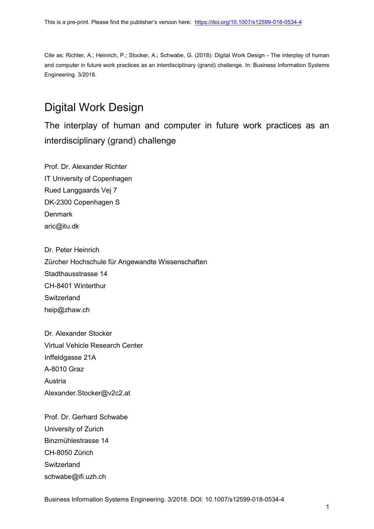Cite as: Richter, A.; Heinrich, P.; Stocker, A.; Schwabe, G. (2018): Digital Work Design - The interplay of human and computer in future work practices as an interdisciplinary (grand) challenge. In: Business Information Systems Engineering. 3/2018.

# Digital Work Design

The interplay of human and computer in future work practices as an interdisciplinary (grand) challenge

Prof. Dr. Alexander Richter IT University of Copenhagen Rued Langgaards Vej 7 DK-2300 Copenhagen S **Denmark** aric@itu.dk

Dr. Peter Heinrich Zürcher Hochschule für Angewandte Wissenschaften Stadthausstrasse 14 CH-8401 Winterthur **Switzerland** heip@zhaw.ch

Dr. Alexander Stocker Virtual Vehicle Research Center Inffeldgasse 21A A-8010 Graz Austria Alexander.Stocker@v2c2.at

Prof. Dr. Gerhard Schwabe University of Zurich Binzmühlestrasse 14 CH-8050 Zürich **Switzerland** schwabe@ifi.uzh.ch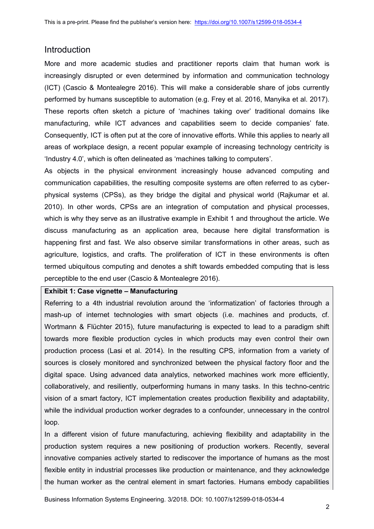### Introduction

More and more academic studies and practitioner reports claim that human work is increasingly disrupted or even determined by information and communication technology (ICT) (Cascio & Montealegre 2016). This will make a considerable share of jobs currently performed by humans susceptible to automation (e.g. Frey et al. 2016, Manyika et al. 2017). These reports often sketch a picture of 'machines taking over' traditional domains like manufacturing, while ICT advances and capabilities seem to decide companies' fate. Consequently, ICT is often put at the core of innovative efforts. While this applies to nearly all areas of workplace design, a recent popular example of increasing technology centricity is 'Industry 4.0', which is often delineated as 'machines talking to computers'.

As objects in the physical environment increasingly house advanced computing and communication capabilities, the resulting composite systems are often referred to as cyberphysical systems (CPSs), as they bridge the digital and physical world (Rajkumar et al. 2010). In other words, CPSs are an integration of computation and physical processes, which is why they serve as an illustrative example in Exhibit 1 and throughout the article. We discuss manufacturing as an application area, because here digital transformation is happening first and fast. We also observe similar transformations in other areas, such as agriculture, logistics, and crafts. The proliferation of ICT in these environments is often termed ubiquitous computing and denotes a shift towards embedded computing that is less perceptible to the end user (Cascio & Montealegre 2016).

### **Exhibit 1: Case vignette – Manufacturing**

Referring to a 4th industrial revolution around the 'informatization' of factories through a mash-up of internet technologies with smart objects (i.e. machines and products, cf. Wortmann & Flüchter 2015), future manufacturing is expected to lead to a paradigm shift towards more flexible production cycles in which products may even control their own production process (Lasi et al. 2014). In the resulting CPS, information from a variety of sources is closely monitored and synchronized between the physical factory floor and the digital space. Using advanced data analytics, networked machines work more efficiently, collaboratively, and resiliently, outperforming humans in many tasks. In this techno-centric vision of a smart factory, ICT implementation creates production flexibility and adaptability, while the individual production worker degrades to a confounder, unnecessary in the control loop.

In a different vision of future manufacturing, achieving flexibility and adaptability in the production system requires a new positioning of production workers. Recently, several innovative companies actively started to rediscover the importance of humans as the most flexible entity in industrial processes like production or maintenance, and they acknowledge the human worker as the central element in smart factories. Humans embody capabilities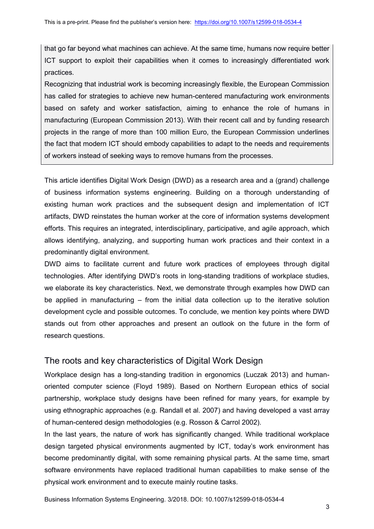that go far beyond what machines can achieve. At the same time, humans now require better ICT support to exploit their capabilities when it comes to increasingly differentiated work practices.

Recognizing that industrial work is becoming increasingly flexible, the European Commission has called for strategies to achieve new human-centered manufacturing work environments based on safety and worker satisfaction, aiming to enhance the role of humans in manufacturing (European Commission 2013). With their recent call and by funding research projects in the range of more than 100 million Euro, the European Commission underlines the fact that modern ICT should embody capabilities to adapt to the needs and requirements of workers instead of seeking ways to remove humans from the processes.

This article identifies Digital Work Design (DWD) as a research area and a (grand) challenge of business information systems engineering. Building on a thorough understanding of existing human work practices and the subsequent design and implementation of ICT artifacts, DWD reinstates the human worker at the core of information systems development efforts. This requires an integrated, interdisciplinary, participative, and agile approach, which allows identifying, analyzing, and supporting human work practices and their context in a predominantly digital environment.

DWD aims to facilitate current and future work practices of employees through digital technologies. After identifying DWD's roots in long-standing traditions of workplace studies, we elaborate its key characteristics. Next, we demonstrate through examples how DWD can be applied in manufacturing – from the initial data collection up to the iterative solution development cycle and possible outcomes. To conclude, we mention key points where DWD stands out from other approaches and present an outlook on the future in the form of research questions.

## The roots and key characteristics of Digital Work Design

Workplace design has a long-standing tradition in ergonomics (Luczak 2013) and humanoriented computer science (Floyd 1989). Based on Northern European ethics of social partnership, workplace study designs have been refined for many years, for example by using ethnographic approaches (e.g. Randall et al. 2007) and having developed a vast array of human-centered design methodologies (e.g. Rosson & Carrol 2002).

In the last years, the nature of work has significantly changed. While traditional workplace design targeted physical environments augmented by ICT, today's work environment has become predominantly digital, with some remaining physical parts. At the same time, smart software environments have replaced traditional human capabilities to make sense of the physical work environment and to execute mainly routine tasks.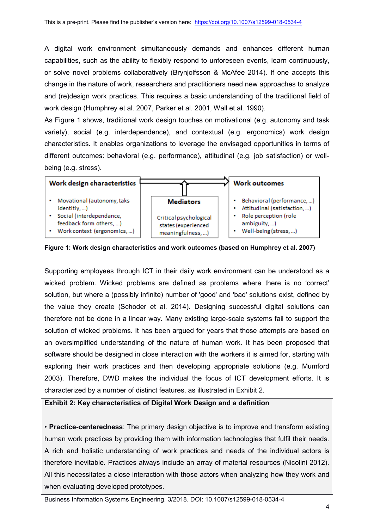A digital work environment simultaneously demands and enhances different human capabilities, such as the ability to flexibly respond to unforeseen events, learn continuously, or solve novel problems collaboratively (Brynjolfsson & McAfee 2014). If one accepts this change in the nature of work, researchers and practitioners need new approaches to analyze and (re)design work practices. This requires a basic understanding of the traditional field of work design (Humphrey et al. 2007, Parker et al. 2001, Wall et al. 1990).

As Figure 1 shows, traditional work design touches on motivational (e.g. autonomy and task variety), social (e.g. interdependence), and contextual (e.g. ergonomics) work design characteristics. It enables organizations to leverage the envisaged opportunities in terms of different outcomes: behavioral (e.g. performance), attitudinal (e.g. job satisfaction) or wellbeing (e.g. stress).



**Figure 1: Work design characteristics and work outcomes (based on Humphrey et al. 2007)**

Supporting employees through ICT in their daily work environment can be understood as a wicked problem. Wicked problems are defined as problems where there is no 'correct' solution, but where a (possibly infinite) number of 'good' and 'bad' solutions exist, defined by the value they create (Schoder et al. 2014). Designing successful digital solutions can therefore not be done in a linear way. Many existing large-scale systems fail to support the solution of wicked problems. It has been argued for years that those attempts are based on an oversimplified understanding of the nature of human work. It has been proposed that software should be designed in close interaction with the workers it is aimed for, starting with exploring their work practices and then developing appropriate solutions (e.g. Mumford 2003). Therefore, DWD makes the individual the focus of ICT development efforts. It is characterized by a number of distinct features, as illustrated in Exhibit 2.

### **Exhibit 2: Key characteristics of Digital Work Design and a definition**

• **Practice-centeredness**: The primary design objective is to improve and transform existing human work practices by providing them with information technologies that fulfil their needs. A rich and holistic understanding of work practices and needs of the individual actors is therefore inevitable. Practices always include an array of material resources (Nicolini 2012). All this necessitates a close interaction with those actors when analyzing how they work and when evaluating developed prototypes.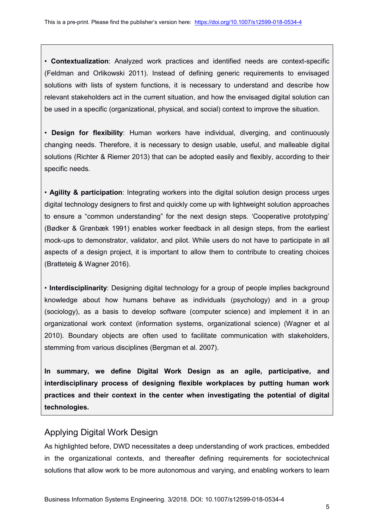• **Contextualization**: Analyzed work practices and identified needs are context-specific (Feldman and Orlikowski 2011). Instead of defining generic requirements to envisaged solutions with lists of system functions, it is necessary to understand and describe how relevant stakeholders act in the current situation, and how the envisaged digital solution can be used in a specific (organizational, physical, and social) context to improve the situation.

• **Design for flexibility**: Human workers have individual, diverging, and continuously changing needs. Therefore, it is necessary to design usable, useful, and malleable digital solutions (Richter & Riemer 2013) that can be adopted easily and flexibly, according to their specific needs.

• **Agility & participation**: Integrating workers into the digital solution design process urges digital technology designers to first and quickly come up with lightweight solution approaches to ensure a "common understanding" for the next design steps. 'Cooperative prototyping' (Bødker & Grønbæk 1991) enables worker feedback in all design steps, from the earliest mock-ups to demonstrator, validator, and pilot. While users do not have to participate in all aspects of a design project, it is important to allow them to contribute to creating choices (Bratteteig & Wagner 2016).

• **Interdisciplinarity**: Designing digital technology for a group of people implies background knowledge about how humans behave as individuals (psychology) and in a group (sociology), as a basis to develop software (computer science) and implement it in an organizational work context (information systems, organizational science) (Wagner et al 2010). Boundary objects are often used to facilitate communication with stakeholders, stemming from various disciplines (Bergman et al. 2007).

**In summary, we define Digital Work Design as an agile, participative, and interdisciplinary process of designing flexible workplaces by putting human work practices and their context in the center when investigating the potential of digital technologies.**

# Applying Digital Work Design

As highlighted before, DWD necessitates a deep understanding of work practices, embedded in the organizational contexts, and thereafter defining requirements for sociotechnical solutions that allow work to be more autonomous and varying, and enabling workers to learn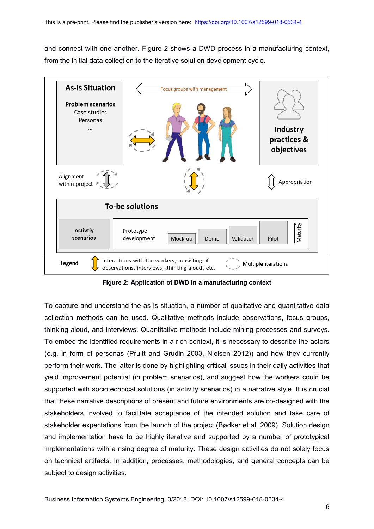and connect with one another. Figure 2 shows a DWD process in a manufacturing context, from the initial data collection to the iterative solution development cycle.



**Figure 2: Application of DWD in a manufacturing context**

To capture and understand the as-is situation, a number of qualitative and quantitative data collection methods can be used. Qualitative methods include observations, focus groups, thinking aloud, and interviews. Quantitative methods include mining processes and surveys. To embed the identified requirements in a rich context, it is necessary to describe the actors (e.g. in form of personas (Pruitt and Grudin 2003, Nielsen 2012)) and how they currently perform their work. The latter is done by highlighting critical issues in their daily activities that yield improvement potential (in problem scenarios), and suggest how the workers could be supported with sociotechnical solutions (in activity scenarios) in a narrative style. It is crucial that these narrative descriptions of present and future environments are co-designed with the stakeholders involved to facilitate acceptance of the intended solution and take care of stakeholder expectations from the launch of the project (Bødker et al. 2009). Solution design and implementation have to be highly iterative and supported by a number of prototypical implementations with a rising degree of maturity. These design activities do not solely focus on technical artifacts. In addition, processes, methodologies, and general concepts can be subject to design activities.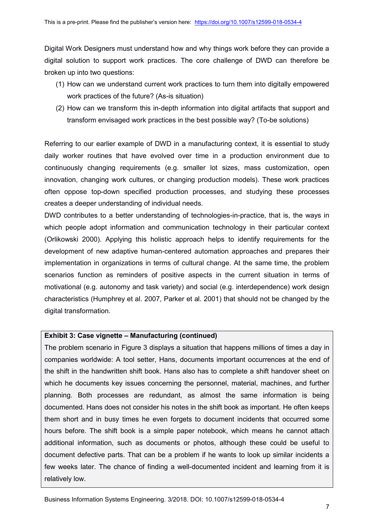Digital Work Designers must understand how and why things work before they can provide a digital solution to support work practices. The core challenge of DWD can therefore be broken up into two questions:

- (1) How can we understand current work practices to turn them into digitally empowered work practices of the future? (As-is situation)
- (2) How can we transform this in-depth information into digital artifacts that support and transform envisaged work practices in the best possible way? (To-be solutions)

Referring to our earlier example of DWD in a manufacturing context, it is essential to study daily worker routines that have evolved over time in a production environment due to continuously changing requirements (e.g. smaller lot sizes, mass customization, open innovation, changing work cultures, or changing production models). These work practices often oppose top-down specified production processes, and studying these processes creates a deeper understanding of individual needs.

DWD contributes to a better understanding of technologies-in-practice, that is, the ways in which people adopt information and communication technology in their particular context (Orlikowski 2000). Applying this holistic approach helps to identify requirements for the development of new adaptive human-centered automation approaches and prepares their implementation in organizations in terms of cultural change. At the same time, the problem scenarios function as reminders of positive aspects in the current situation in terms of motivational (e.g. autonomy and task variety) and social (e.g. interdependence) work design characteristics (Humphrey et al. 2007, Parker et al. 2001) that should not be changed by the digital transformation.

#### **Exhibit 3: Case vignette – Manufacturing (continued)**

The problem scenario in Figure 3 displays a situation that happens millions of times a day in companies worldwide: A tool setter, Hans, documents important occurrences at the end of the shift in the handwritten shift book. Hans also has to complete a shift handover sheet on which he documents key issues concerning the personnel, material, machines, and further planning. Both processes are redundant, as almost the same information is being documented. Hans does not consider his notes in the shift book as important. He often keeps them short and in busy times he even forgets to document incidents that occurred some hours before. The shift book is a simple paper notebook, which means he cannot attach additional information, such as documents or photos, although these could be useful to document defective parts. That can be a problem if he wants to look up similar incidents a few weeks later. The chance of finding a well-documented incident and learning from it is relatively low.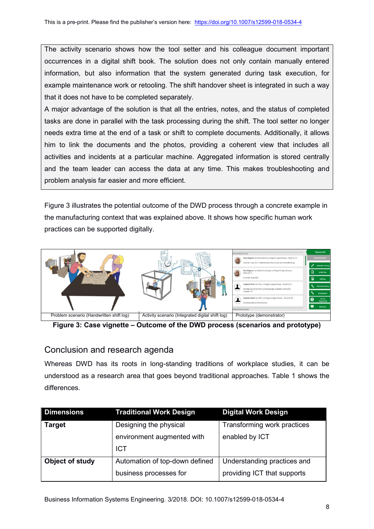The activity scenario shows how the tool setter and his colleague document important occurrences in a digital shift book. The solution does not only contain manually entered information, but also information that the system generated during task execution, for example maintenance work or retooling. The shift handover sheet is integrated in such a way that it does not have to be completed separately.

A major advantage of the solution is that all the entries, notes, and the status of completed tasks are done in parallel with the task processing during the shift. The tool setter no longer needs extra time at the end of a task or shift to complete documents. Additionally, it allows him to link the documents and the photos, providing a coherent view that includes all activities and incidents at a particular machine. Aggregated information is stored centrally and the team leader can access the data at any time. This makes troubleshooting and problem analysis far easier and more efficient.

Figure 3 illustrates the potential outcome of the DWD process through a concrete example in the manufacturing context that was explained above. It shows how specific human work practices can be supported digitally.



**Figure 3: Case vignette – Outcome of the DWD process (scenarios and prototype)**

### Conclusion and research agenda

Whereas DWD has its roots in long-standing traditions of workplace studies, it can be understood as a research area that goes beyond traditional approaches. Table 1 shows the differences.

| <b>Dimensions</b>      | <b>Traditional Work Design</b> | <b>Digital Work Design</b>  |
|------------------------|--------------------------------|-----------------------------|
| <b>Target</b>          | Designing the physical         | Transforming work practices |
|                        | environment augmented with     | enabled by ICT              |
|                        | <b>ICT</b>                     |                             |
| <b>Object of study</b> | Automation of top-down defined | Understanding practices and |
|                        | business processes for         | providing ICT that supports |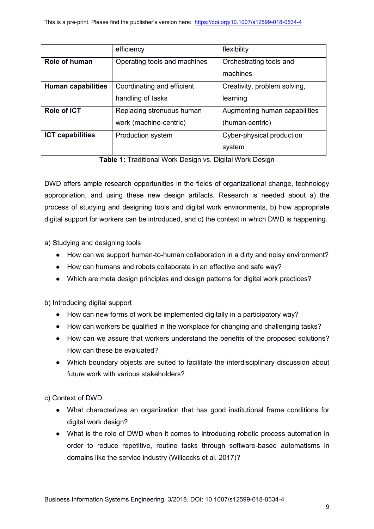|                           | efficiency                   | flexibility                   |
|---------------------------|------------------------------|-------------------------------|
| Role of human             | Operating tools and machines | Orchestrating tools and       |
|                           |                              | machines                      |
| <b>Human capabilities</b> | Coordinating and efficient   | Creativity, problem solving,  |
|                           | handling of tasks            | learning                      |
| Role of ICT               | Replacing strenuous human    | Augmenting human capabilities |
|                           | work (machine-centric)       | (human-centric)               |
| <b>ICT capabilities</b>   | Production system            | Cyber-physical production     |
|                           |                              | system                        |

**Table 1:** Traditional Work Design vs. Digital Work Design

DWD offers ample research opportunities in the fields of organizational change, technology appropriation, and using these new design artifacts. Research is needed about a) the process of studying and designing tools and digital work environments, b) how appropriate digital support for workers can be introduced, and c) the context in which DWD is happening.

a) Studying and designing tools

- How can we support human-to-human collaboration in a dirty and noisy environment?
- How can humans and robots collaborate in an effective and safe way?
- Which are meta design principles and design patterns for digital work practices?

b) Introducing digital support

- How can new forms of work be implemented digitally in a participatory way?
- How can workers be qualified in the workplace for changing and challenging tasks?
- How can we assure that workers understand the benefits of the proposed solutions? How can these be evaluated?
- Which boundary objects are suited to facilitate the interdisciplinary discussion about future work with various stakeholders?

c) Context of DWD

- What characterizes an organization that has good institutional frame conditions for digital work design?
- What is the role of DWD when it comes to introducing robotic process automation in order to reduce repetitive, routine tasks through software-based automatisms in domains like the service industry (Willcocks et al. 2017)?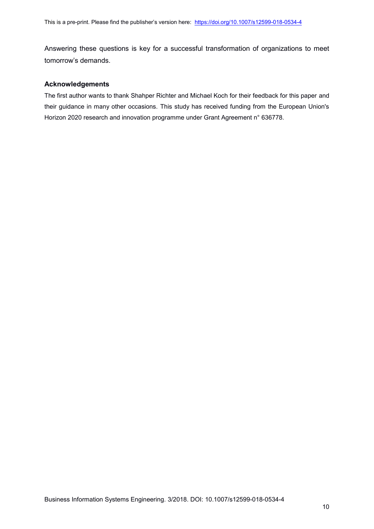Answering these questions is key for a successful transformation of organizations to meet tomorrow's demands.

#### **Acknowledgements**

The first author wants to thank Shahper Richter and Michael Koch for their feedback for this paper and their guidance in many other occasions. This study has received funding from the European Union's Horizon 2020 research and innovation programme under Grant Agreement n° 636778.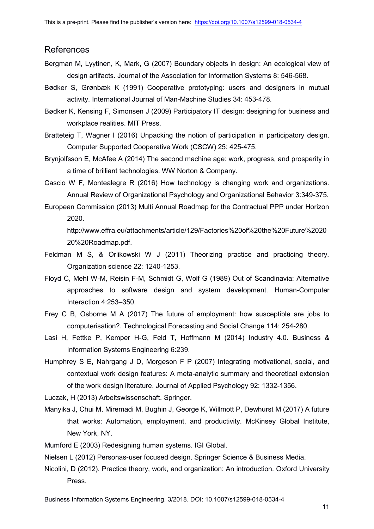### References

- Bergman M, Lyytinen, K, Mark, G (2007) Boundary objects in design: An ecological view of design artifacts. Journal of the Association for Information Systems 8: 546-568.
- Bødker S, Grønbæk K (1991) Cooperative prototyping: users and designers in mutual activity. International Journal of Man-Machine Studies 34: 453-478.
- Bødker K, Kensing F, Simonsen J (2009) Participatory IT design: designing for business and workplace realities. MIT Press.
- Bratteteig T, Wagner I (2016) Unpacking the notion of participation in participatory design. Computer Supported Cooperative Work (CSCW) 25: 425-475.
- Brynjolfsson E, McAfee A (2014) The second machine age: work, progress, and prosperity in a time of brilliant technologies. WW Norton & Company.
- Cascio W F, Montealegre R (2016) How technology is changing work and organizations. Annual Review of Organizational Psychology and Organizational Behavior 3:349-375.
- European Commission (2013) Multi Annual Roadmap for the Contractual PPP under Horizon 2020.

http://www.effra.eu/attachments/article/129/Factories%20of%20the%20Future%2020 20%20Roadmap.pdf.

- Feldman M S, & Orlikowski W J (2011) Theorizing practice and practicing theory. Organization science 22: 1240-1253.
- Floyd C, Mehl W-M, Reisin F-M, Schmidt G, Wolf G (1989) Out of Scandinavia: Alternative approaches to software design and system development. Human-Computer Interaction 4:253–350.
- Frey C B, Osborne M A (2017) The future of employment: how susceptible are jobs to computerisation?. Technological Forecasting and Social Change 114: 254-280.
- Lasi H, Fettke P, Kemper H-G, Feld T, Hoffmann M (2014) Industry 4.0. Business & Information Systems Engineering 6:239.
- Humphrey S E, Nahrgang J D, Morgeson F P (2007) Integrating motivational, social, and contextual work design features: A meta-analytic summary and theoretical extension of the work design literature. Journal of Applied Psychology 92: 1332-1356.

Luczak, H (2013) Arbeitswissenschaft. Springer.

- Manyika J, Chui M, Miremadi M, Bughin J, George K, Willmott P, Dewhurst M (2017) A future that works: Automation, employment, and productivity. McKinsey Global Institute, New York, NY.
- Mumford E (2003) Redesigning human systems. IGI Global.

Nielsen L (2012) Personas-user focused design. Springer Science & Business Media.

Nicolini, D (2012). Practice theory, work, and organization: An introduction. Oxford University Press.

Business Information Systems Engineering. 3/2018. DOI: 10.1007/s12599-018-0534-4